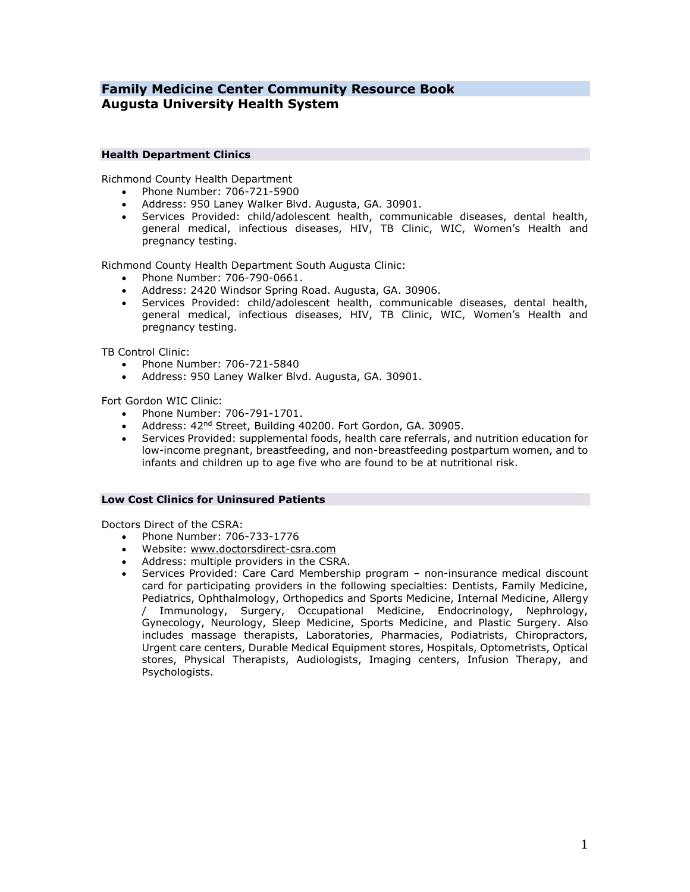# **Family Medicine Center Community Resource Book Augusta University Health System**

### **Health Department Clinics**

Richmond County Health Department

- Phone Number: 706-721-5900
- Address: 950 Laney Walker Blvd. Augusta, GA. 30901.
- Services Provided: child/adolescent health, communicable diseases, dental health, general medical, infectious diseases, HIV, TB Clinic, WIC, Women's Health and pregnancy testing.

Richmond County Health Department South Augusta Clinic:

- Phone Number: 706-790-0661.
- Address: 2420 Windsor Spring Road. Augusta, GA. 30906.
- Services Provided: child/adolescent health, communicable diseases, dental health, general medical, infectious diseases, HIV, TB Clinic, WIC, Women's Health and pregnancy testing.

TB Control Clinic:

- Phone Number: 706-721-5840
- Address: 950 Laney Walker Blvd. Augusta, GA. 30901.

Fort Gordon WIC Clinic:

- Phone Number: 706-791-1701.
- Address: 42nd Street, Building 40200. Fort Gordon, GA. 30905.
- Services Provided: supplemental foods, health care referrals, and nutrition education for low-income pregnant, breastfeeding, and non-breastfeeding postpartum women, and to infants and children up to age five who are found to be at nutritional risk.

### **Low Cost Clinics for Uninsured Patients**

Doctors Direct of the CSRA:

- Phone Number: 706-733-1776
- Website: [www.doctorsdirect-csra.com](http://www.doctorsdirect-csra.com/)
- Address: multiple providers in the CSRA.
- Services Provided: Care Card Membership program non-insurance medical discount card for participating providers in the following specialties: Dentists, Family Medicine, Pediatrics, Ophthalmology, Orthopedics and Sports Medicine, Internal Medicine, Allergy / Immunology, Surgery, Occupational Medicine, Endocrinology, Nephrology, Gynecology, Neurology, Sleep Medicine, Sports Medicine, and Plastic Surgery. Also includes massage therapists, Laboratories, Pharmacies, Podiatrists, Chiropractors, Urgent care centers, Durable Medical Equipment stores, Hospitals, Optometrists, Optical stores, Physical Therapists, Audiologists, Imaging centers, Infusion Therapy, and Psychologists.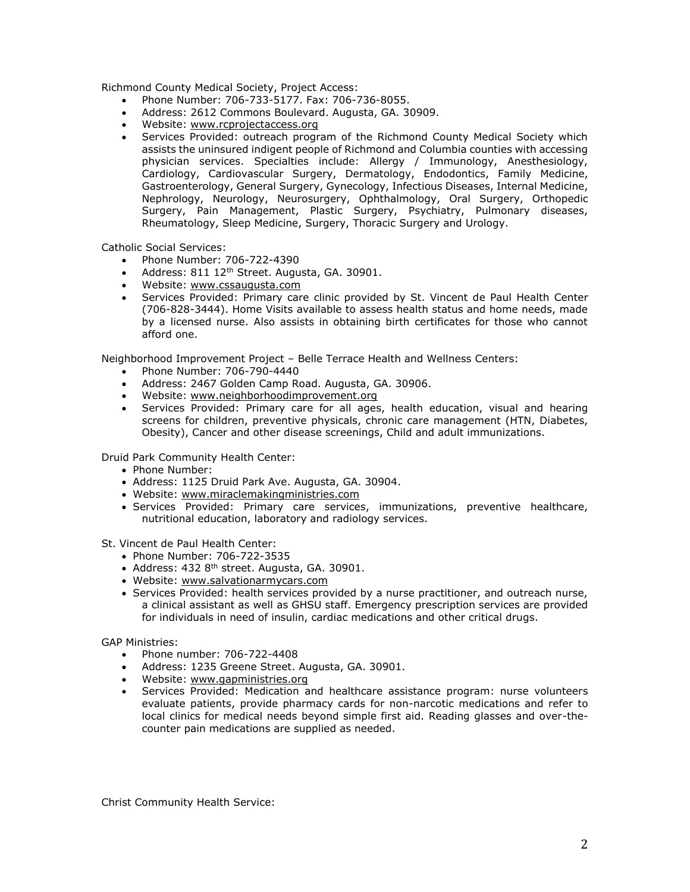Richmond County Medical Society, Project Access:

- Phone Number: 706-733-5177. Fax: 706-736-8055.
- Address: 2612 Commons Boulevard. Augusta, GA. 30909.
- Website: [www.rcprojectaccess.org](http://www.rcprojectaccess.org/)
- Services Provided: outreach program of the Richmond County Medical Society which assists the uninsured indigent people of Richmond and Columbia counties with accessing physician services. Specialties include: Allergy / Immunology, Anesthesiology, Cardiology, Cardiovascular Surgery, Dermatology, Endodontics, Family Medicine, Gastroenterology, General Surgery, Gynecology, Infectious Diseases, Internal Medicine, Nephrology, Neurology, Neurosurgery, Ophthalmology, Oral Surgery, Orthopedic Surgery, Pain Management, Plastic Surgery, Psychiatry, Pulmonary diseases, Rheumatology, Sleep Medicine, Surgery, Thoracic Surgery and Urology.

Catholic Social Services:

- Phone Number: 706-722-4390
- Address: 811 12<sup>th</sup> Street. Augusta, GA. 30901.
- Website: [www.cssaugusta.com](http://www.cssaugusta.com/)
- Services Provided: Primary care clinic provided by St. Vincent de Paul Health Center (706-828-3444). Home Visits available to assess health status and home needs, made by a licensed nurse. Also assists in obtaining birth certificates for those who cannot afford one.

Neighborhood Improvement Project – Belle Terrace Health and Wellness Centers:

- Phone Number: 706-790-4440
- Address: 2467 Golden Camp Road. Augusta, GA. 30906.
- Website: [www.neighborhoodimprovement.org](http://www.neighborhoodimprovement.org/)
- Services Provided: Primary care for all ages, health education, visual and hearing screens for children, preventive physicals, chronic care management (HTN, Diabetes, Obesity), Cancer and other disease screenings, Child and adult immunizations.

Druid Park Community Health Center:

- Phone Number:
- Address: 1125 Druid Park Ave. Augusta, GA. 30904.
- Website: [www.miraclemakingministries.com](http://www.miraclemakingministries.com/)
- Services Provided: Primary care services, immunizations, preventive healthcare, nutritional education, laboratory and radiology services.

St. Vincent de Paul Health Center:

- Phone Number: 706-722-3535
- Address:  $4328<sup>th</sup>$  street. Augusta, GA, 30901.
- Website: [www.salvationarmycars.com](http://www.salvationarmycars.com/)
- Services Provided: health services provided by a nurse practitioner, and outreach nurse, a clinical assistant as well as GHSU staff. Emergency prescription services are provided for individuals in need of insulin, cardiac medications and other critical drugs.

GAP Ministries:

- Phone number: 706-722-4408
- Address: 1235 Greene Street. Augusta, GA. 30901.
- Website: [www.gapministries.org](http://www.gapministries.org/)
- Services Provided: Medication and healthcare assistance program: nurse volunteers evaluate patients, provide pharmacy cards for non-narcotic medications and refer to local clinics for medical needs beyond simple first aid. Reading glasses and over-thecounter pain medications are supplied as needed.

Christ Community Health Service: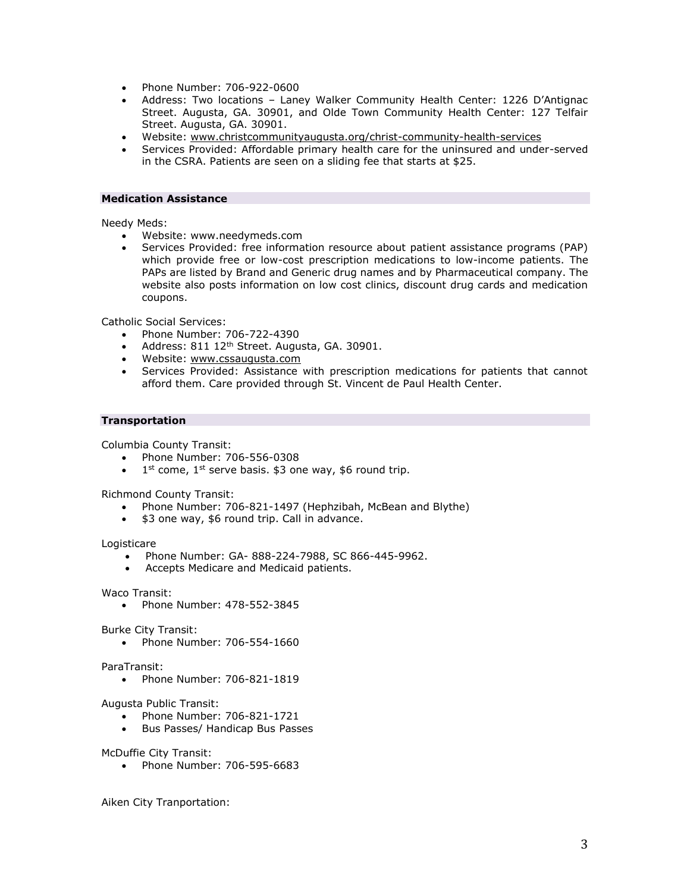- Phone Number: 706-922-0600
- Address: Two locations Laney Walker Community Health Center: 1226 D'Antignac Street. Augusta, GA. 30901, and Olde Town Community Health Center: 127 Telfair Street. Augusta, GA. 30901.
- Website: [www.christcommunityaugusta.org/christ-community-health-services](http://www.christcommunityaugusta.org/christ-community-health-services)
- Services Provided: Affordable primary health care for the uninsured and under-served in the CSRA. Patients are seen on a sliding fee that starts at \$25.

## **Medication Assistance**

Needy Meds:

- Website: [www.needymeds.com](http://www.needymeds.com/)
- Services Provided: free information resource about patient assistance programs (PAP) which provide free or low-cost prescription medications to low-income patients. The PAPs are listed by Brand and Generic drug names and by Pharmaceutical company. The website also posts information on low cost clinics, discount drug cards and medication coupons.

Catholic Social Services:

- Phone Number: 706-722-4390
- Address: 811 12<sup>th</sup> Street. Augusta, GA. 30901.
- Website: [www.cssaugusta.com](http://www.cssaugusta.com/)
- Services Provided: Assistance with prescription medications for patients that cannot afford them. Care provided through St. Vincent de Paul Health Center.

## **Transportation**

Columbia County Transit:

- Phone Number: 706-556-0308
- $\bullet$  1<sup>st</sup> come, 1<sup>st</sup> serve basis. \$3 one way, \$6 round trip.

Richmond County Transit:

- Phone Number: 706-821-1497 (Hephzibah, McBean and Blythe)
- \$3 one way, \$6 round trip. Call in advance.

Logisticare

- Phone Number: GA- 888-224-7988, SC 866-445-9962.
- Accepts Medicare and Medicaid patients.

Waco Transit:

Phone Number: 478-552-3845

Burke City Transit:

Phone Number: 706-554-1660

ParaTransit:

Phone Number: 706-821-1819

Augusta Public Transit:

- Phone Number: 706-821-1721
- Bus Passes/ Handicap Bus Passes

McDuffie City Transit:

Phone Number: 706-595-6683

Aiken City Tranportation: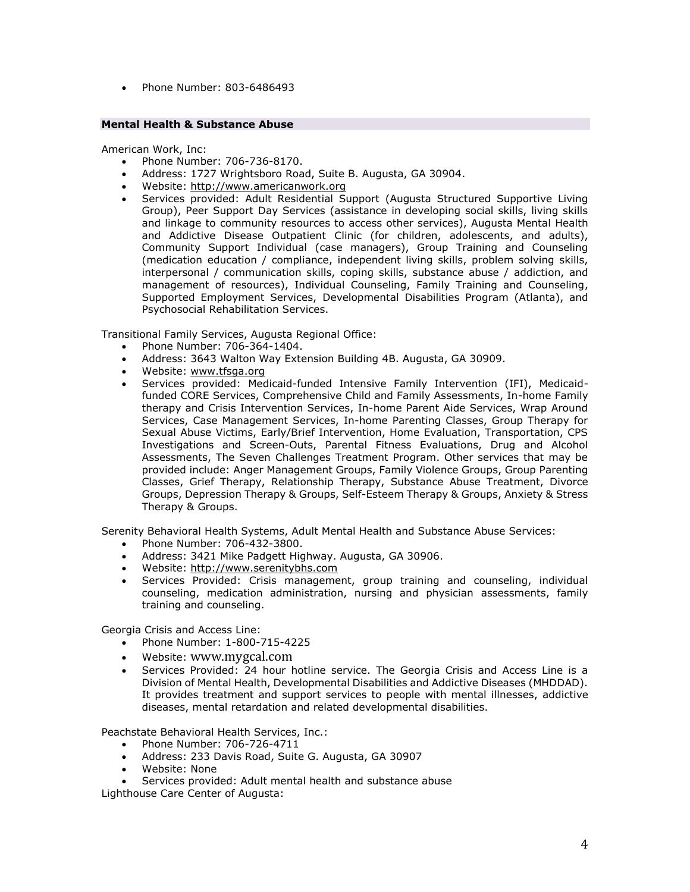• Phone Number: 803-6486493

## **Mental Health & Substance Abuse**

American Work, Inc:

- Phone Number: 706-736-8170.
- Address: 1727 Wrightsboro Road, Suite B. Augusta, GA 30904.
- Website: [http://www.americanwork.org](http://www.americanwork.org/)
- Services provided: Adult Residential Support (Augusta Structured Supportive Living Group), Peer Support Day Services (assistance in developing social skills, living skills and linkage to community resources to access other services), Augusta Mental Health and Addictive Disease Outpatient Clinic (for children, adolescents, and adults), Community Support Individual (case managers), Group Training and Counseling (medication education / compliance, independent living skills, problem solving skills, interpersonal / communication skills, coping skills, substance abuse / addiction, and management of resources), Individual Counseling, Family Training and Counseling, Supported Employment Services, Developmental Disabilities Program (Atlanta), and Psychosocial Rehabilitation Services.

Transitional Family Services, Augusta Regional Office:

- Phone Number: 706-364-1404.
- Address: 3643 Walton Way Extension Building 4B. Augusta, GA 30909.
- Website: [www.tfsga.org](http://www.tfsga.org/)
- Services provided: Medicaid-funded Intensive Family Intervention (IFI), Medicaidfunded CORE Services, Comprehensive Child and Family Assessments, In-home Family therapy and Crisis Intervention Services, In-home Parent Aide Services, Wrap Around Services, Case Management Services, In-home Parenting Classes, Group Therapy for Sexual Abuse Victims, Early/Brief Intervention, Home Evaluation, Transportation, CPS Investigations and Screen-Outs, Parental Fitness Evaluations, Drug and Alcohol Assessments, The Seven Challenges Treatment Program. Other services that may be provided include: Anger Management Groups, Family Violence Groups, Group Parenting Classes, Grief Therapy, Relationship Therapy, Substance Abuse Treatment, Divorce Groups, Depression Therapy & Groups, Self-Esteem Therapy & Groups, Anxiety & Stress Therapy & Groups.

Serenity Behavioral Health Systems, Adult Mental Health and Substance Abuse Services:

- Phone Number: 706-432-3800.
- Address: 3421 Mike Padgett Highway. Augusta, GA 30906.
- Website: [http://www.serenitybhs.com](http://www.serenitybhs.com/)
- Services Provided: Crisis management, group training and counseling, individual counseling, medication administration, nursing and physician assessments, family training and counseling.

Georgia Crisis and Access Line:

- Phone Number: 1-800-715-4225
- Website: www.mygcal.com
- Services Provided: 24 hour hotline service. The Georgia Crisis and Access Line is a Division of Mental Health, Developmental Disabilities and Addictive Diseases (MHDDAD). It provides treatment and support services to people with mental illnesses, addictive diseases, mental retardation and related developmental disabilities.

Peachstate Behavioral Health Services, Inc.:

- Phone Number: 706-726-4711
- Address: 233 Davis Road, Suite G. Augusta, GA 30907
- Website: None
- Services provided: Adult mental health and substance abuse

Lighthouse Care Center of Augusta: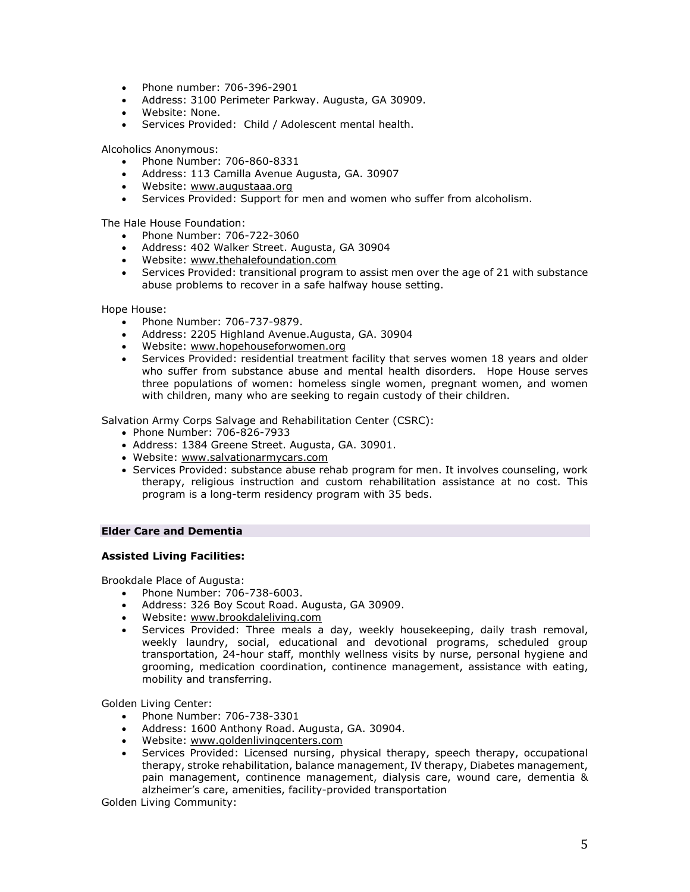- Phone number: 706-396-2901
- Address: 3100 Perimeter Parkway. Augusta, GA 30909.
- Website: None.
- Services Provided: Child / Adolescent mental health.

Alcoholics Anonymous:

- Phone Number: 706-860-8331
- Address: 113 Camilla Avenue Augusta, GA. 30907
- Website: [www.augustaaa.org](http://www.augustaaa.org/)
- Services Provided: Support for men and women who suffer from alcoholism.

The Hale House Foundation:

- Phone Number: 706-722-3060
- Address: 402 Walker Street. Augusta, GA 30904
- Website: [www.thehalefoundation.com](http://www.thehalefoundation.com/)
- Services Provided: transitional program to assist men over the age of 21 with substance abuse problems to recover in a safe halfway house setting.

Hope House:

- Phone Number: 706-737-9879.
- Address: 2205 Highland Avenue.Augusta, GA. 30904
- Website: [www.hopehouseforwomen.org](http://www.hopehouseforwomen.org/)
- Services Provided: residential treatment facility that serves women 18 years and older who suffer from substance abuse and mental health disorders. Hope House serves three populations of women: homeless single women, pregnant women, and women with children, many who are seeking to regain custody of their children.

Salvation Army Corps Salvage and Rehabilitation Center (CSRC):

- Phone Number: 706-826-7933
- Address: 1384 Greene Street. Augusta, GA. 30901.
- Website: [www.salvationarmycars.com](http://www.salvationarmycars.com/)
- Services Provided: substance abuse rehab program for men. It involves counseling, work therapy, religious instruction and custom rehabilitation assistance at no cost. This program is a long-term residency program with 35 beds.

## **Elder Care and Dementia**

## **Assisted Living Facilities:**

Brookdale Place of Augusta:

- Phone Number: 706-738-6003.
- Address: 326 Boy Scout Road. Augusta, GA 30909.
- Website: [www.brookdaleliving.com](http://www.brookdaleliving.com/)
- Services Provided: Three meals a day, weekly housekeeping, daily trash removal, weekly laundry, social, educational and devotional programs, scheduled group transportation, 24-hour staff, monthly wellness visits by nurse, personal hygiene and grooming, medication coordination, continence management, assistance with eating, mobility and transferring.

Golden Living Center:

- Phone Number: 706-738-3301
- Address: 1600 Anthony Road. Augusta, GA. 30904.
- Website: [www.goldenlivingcenters.com](http://www.goldenlivingcenters.com/)
- Services Provided: Licensed nursing, physical therapy, speech therapy, occupational therapy, stroke rehabilitation, balance management, IV therapy, Diabetes management, pain management, continence management, dialysis care, wound care, dementia & alzheimer's care, amenities, facility-provided transportation

Golden Living Community: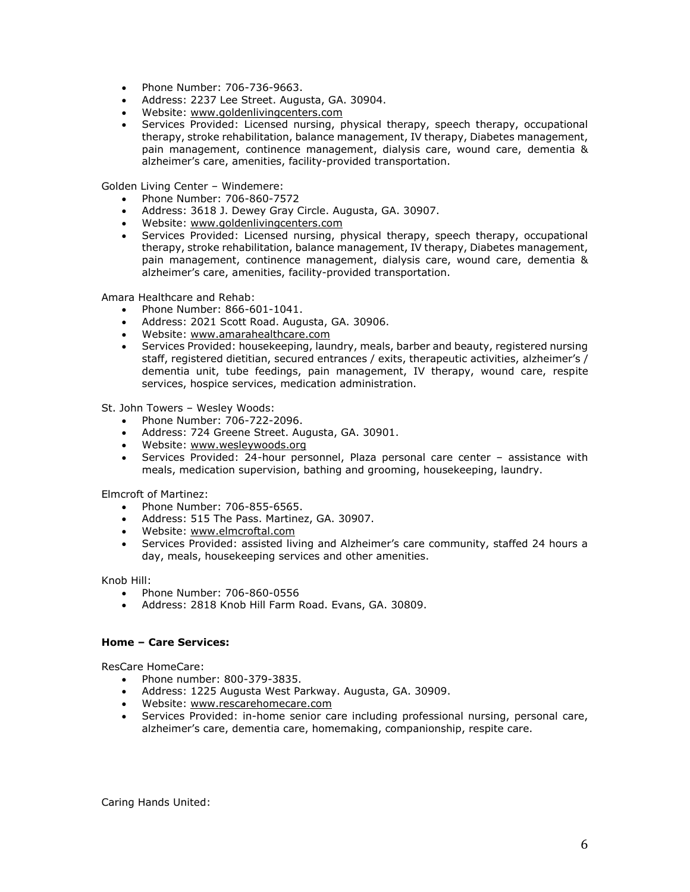- Phone Number: 706-736-9663.
- Address: 2237 Lee Street. Augusta, GA. 30904.
- Website: [www.goldenlivingcenters.com](http://www.goldenlivingcenters.com/)
- Services Provided: Licensed nursing, physical therapy, speech therapy, occupational therapy, stroke rehabilitation, balance management, IV therapy, Diabetes management, pain management, continence management, dialysis care, wound care, dementia & alzheimer's care, amenities, facility-provided transportation.

Golden Living Center – Windemere:

- Phone Number: 706-860-7572
- Address: 3618 J. Dewey Gray Circle. Augusta, GA. 30907.
- Website: [www.goldenlivingcenters.com](http://www.goldenlivingcenters.com/)
- Services Provided: Licensed nursing, physical therapy, speech therapy, occupational therapy, stroke rehabilitation, balance management, IV therapy, Diabetes management, pain management, continence management, dialysis care, wound care, dementia & alzheimer's care, amenities, facility-provided transportation.

Amara Healthcare and Rehab:

- Phone Number: 866-601-1041.
- Address: 2021 Scott Road. Augusta, GA. 30906.
- Website: [www.amarahealthcare.com](http://www.amarahealthcare.com/)
- Services Provided: housekeeping, laundry, meals, barber and beauty, registered nursing staff, registered dietitian, secured entrances / exits, therapeutic activities, alzheimer's / dementia unit, tube feedings, pain management, IV therapy, wound care, respite services, hospice services, medication administration.

St. John Towers – Wesley Woods:

- Phone Number: 706-722-2096.
- Address: 724 Greene Street. Augusta, GA. 30901.
- Website: [www.wesleywoods.org](http://www.wesleywoods.org/)
- Services Provided: 24-hour personnel, Plaza personal care center assistance with meals, medication supervision, bathing and grooming, housekeeping, laundry.

Elmcroft of Martinez:

- Phone Number: 706-855-6565.
- Address: 515 The Pass. Martinez, GA. 30907.
- Website: [www.elmcroftal.com](http://www.elmcroftal.com/)
- Services Provided: assisted living and Alzheimer's care community, staffed 24 hours a day, meals, housekeeping services and other amenities.

Knob Hill:

- Phone Number: 706-860-0556
- Address: 2818 Knob Hill Farm Road. Evans, GA. 30809.

### **Home – Care Services:**

ResCare HomeCare:

- Phone number: 800-379-3835.
- Address: 1225 Augusta West Parkway. Augusta, GA. 30909.
- Website: [www.rescarehomecare.com](http://www.rescarehomecare.com/)
- Services Provided: in-home senior care including professional nursing, personal care, alzheimer's care, dementia care, homemaking, companionship, respite care.

Caring Hands United: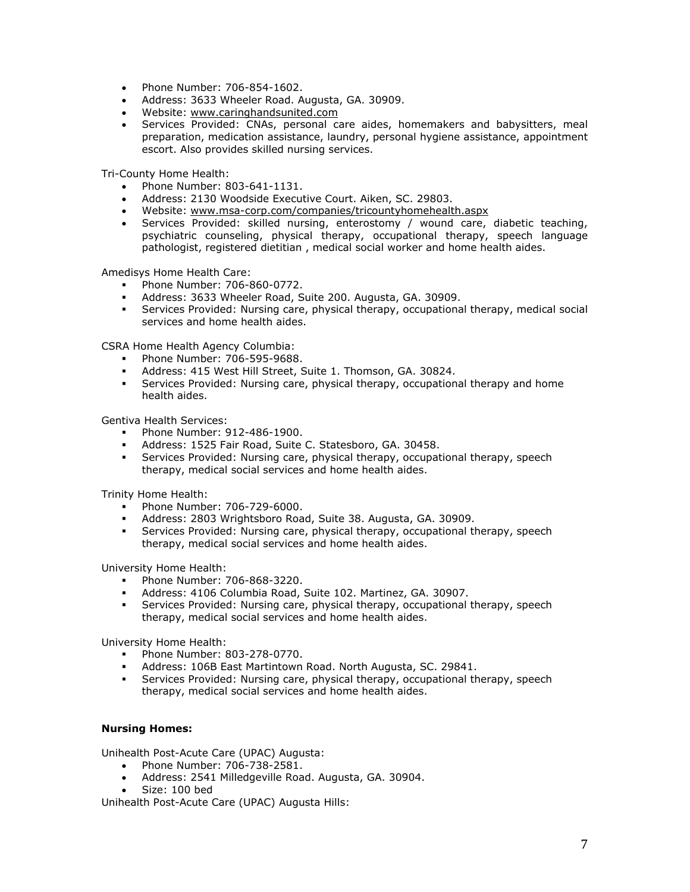- Phone Number: 706-854-1602.
- Address: 3633 Wheeler Road. Augusta, GA. 30909.
- Website: [www.caringhandsunited.com](http://www.caringhandsunited.com/)
- Services Provided: CNAs, personal care aides, homemakers and babysitters, meal preparation, medication assistance, laundry, personal hygiene assistance, appointment escort. Also provides skilled nursing services.

Tri-County Home Health:

- Phone Number: 803-641-1131.
- Address: 2130 Woodside Executive Court. Aiken, SC. 29803.
- Website: [www.msa-corp.com/companies/tricountyhomehealth.aspx](http://www.msa-corp.com/companies/tricountyhomehealth.aspx)
- Services Provided: skilled nursing, enterostomy / wound care, diabetic teaching, psychiatric counseling, physical therapy, occupational therapy, speech language pathologist, registered dietitian , medical social worker and home health aides.

Amedisys Home Health Care:

- Phone Number: 706-860-0772.
- Address: 3633 Wheeler Road, Suite 200. Augusta, GA. 30909.
- Services Provided: Nursing care, physical therapy, occupational therapy, medical social services and home health aides.

CSRA Home Health Agency Columbia:

- Phone Number: 706-595-9688.
- Address: 415 West Hill Street, Suite 1. Thomson, GA. 30824.
- Services Provided: Nursing care, physical therapy, occupational therapy and home health aides.

Gentiva Health Services:

- Phone Number: 912-486-1900.
- Address: 1525 Fair Road, Suite C. Statesboro, GA. 30458.
- Services Provided: Nursing care, physical therapy, occupational therapy, speech therapy, medical social services and home health aides.

Trinity Home Health:

- Phone Number: 706-729-6000.
- Address: 2803 Wrightsboro Road, Suite 38. Augusta, GA. 30909.
- **Services Provided: Nursing care, physical therapy, occupational therapy, speech** therapy, medical social services and home health aides.

University Home Health:

- **Phone Number: 706-868-3220.**
- Address: 4106 Columbia Road, Suite 102. Martinez, GA. 30907.
- Services Provided: Nursing care, physical therapy, occupational therapy, speech therapy, medical social services and home health aides.

University Home Health:

- Phone Number: 803-278-0770.
- Address: 106B East Martintown Road. North Augusta, SC. 29841.
- Services Provided: Nursing care, physical therapy, occupational therapy, speech therapy, medical social services and home health aides.

### **Nursing Homes:**

Unihealth Post-Acute Care (UPAC) Augusta:

- Phone Number: 706-738-2581.
- Address: 2541 Milledgeville Road. Augusta, GA. 30904.
- Size: 100 bed

Unihealth Post-Acute Care (UPAC) Augusta Hills: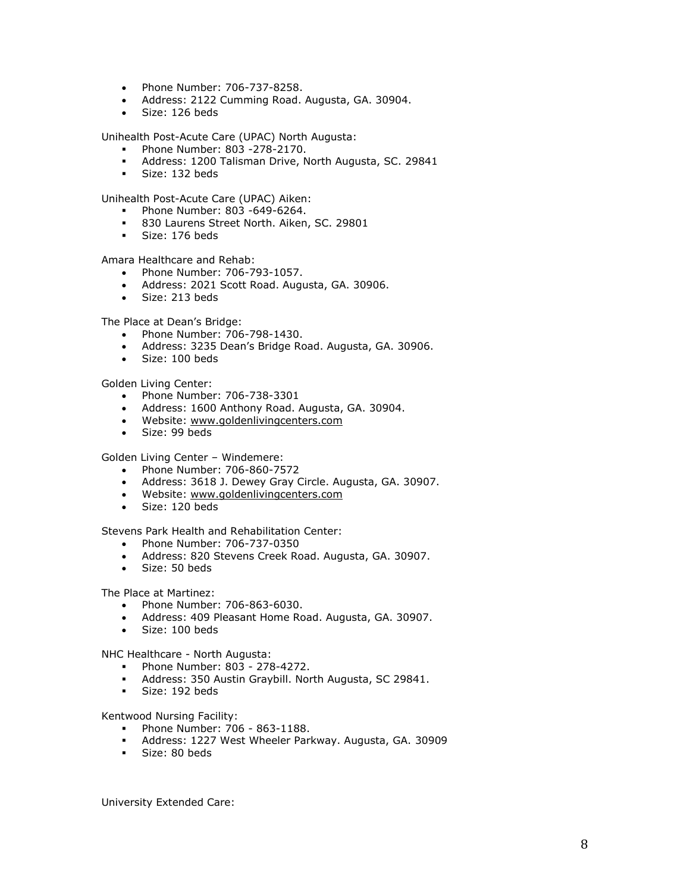- Phone Number: 706-737-8258.
- Address: 2122 Cumming Road. Augusta, GA. 30904.
- Size: 126 beds

Unihealth Post-Acute Care (UPAC) North Augusta:

- Phone Number: 803 -278-2170.
- Address: 1200 Talisman Drive, North Augusta, SC. 29841
- Size: 132 beds

Unihealth Post-Acute Care (UPAC) Aiken:

- **Phone Number: 803 -649-6264.**
- 830 Laurens Street North. Aiken, SC. 29801
- Size: 176 beds

Amara Healthcare and Rehab:

- Phone Number: 706-793-1057.
- Address: 2021 Scott Road. Augusta, GA. 30906.
- Size: 213 beds

The Place at Dean's Bridge:

- Phone Number: 706-798-1430.
- Address: 3235 Dean's Bridge Road. Augusta, GA. 30906.
- Size: 100 beds

Golden Living Center:

- Phone Number: 706-738-3301
- Address: 1600 Anthony Road. Augusta, GA. 30904.
- Website: [www.goldenlivingcenters.com](http://www.goldenlivingcenters.com/)
- Size: 99 beds

Golden Living Center – Windemere:

- Phone Number: 706-860-7572
- Address: 3618 J. Dewey Gray Circle. Augusta, GA. 30907.
- Website: [www.goldenlivingcenters.com](http://www.goldenlivingcenters.com/)
- Size: 120 beds

Stevens Park Health and Rehabilitation Center:

- Phone Number: 706-737-0350
- Address: 820 Stevens Creek Road. Augusta, GA. 30907.
- Size: 50 beds

### The Place at Martinez:

- Phone Number: 706-863-6030.
- Address: 409 Pleasant Home Road. Augusta, GA. 30907.
- Size: 100 beds

NHC Healthcare - North Augusta:

- Phone Number: 803 278-4272.
- Address: 350 Austin Graybill. North Augusta, SC 29841.
- Size: 192 beds

Kentwood Nursing Facility:

- Phone Number: 706 863-1188.
- Address: 1227 West Wheeler Parkway. Augusta, GA. 30909
- Size: 80 beds

University Extended Care: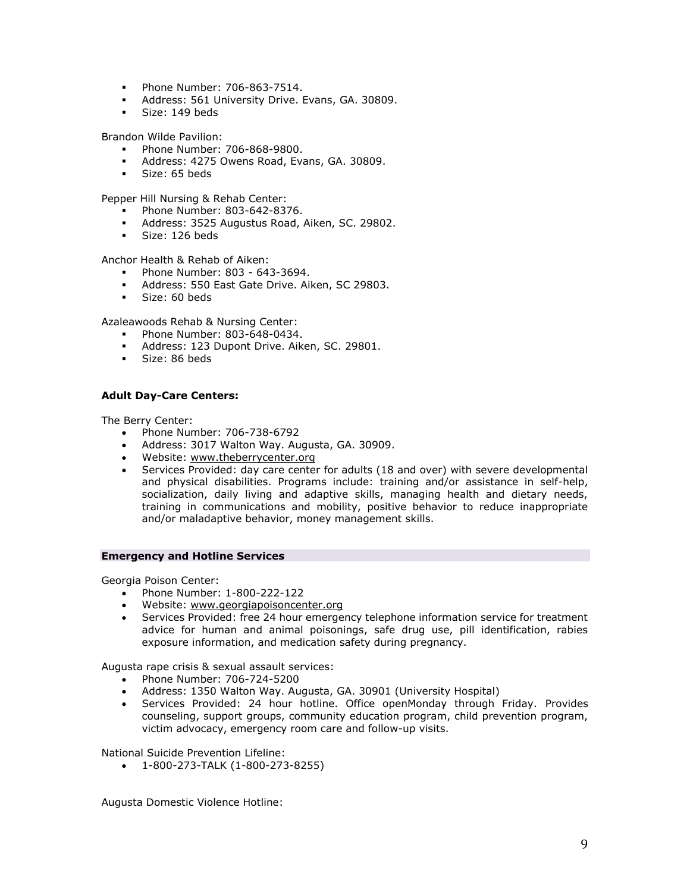- Phone Number: 706-863-7514.
- Address: 561 University Drive. Evans, GA. 30809.
- Size: 149 beds

Brandon Wilde Pavilion:

- Phone Number: 706-868-9800.
- Address: 4275 Owens Road, Evans, GA. 30809.
- Size: 65 beds

Pepper Hill Nursing & Rehab Center:

- **Phone Number: 803-642-8376.**
- Address: 3525 Augustus Road, Aiken, SC. 29802.
- Size: 126 beds

Anchor Health & Rehab of Aiken:

- Phone Number: 803 643-3694.
- Address: 550 East Gate Drive. Aiken, SC 29803.
- **Size: 60 beds**

Azaleawoods Rehab & Nursing Center:

- **Phone Number: 803-648-0434.**
- Address: 123 Dupont Drive. Aiken, SC. 29801.
- Size: 86 beds

## **Adult Day-Care Centers:**

The Berry Center:

- Phone Number: 706-738-6792
- Address: 3017 Walton Way. Augusta, GA. 30909.
- Website: [www.theberrycenter.org](http://www.theberrycenter.org/)
- Services Provided: day care center for adults (18 and over) with severe developmental and physical disabilities. Programs include: training and/or assistance in self-help, socialization, daily living and adaptive skills, managing health and dietary needs, training in communications and mobility, positive behavior to reduce inappropriate and/or maladaptive behavior, money management skills.

### **Emergency and Hotline Services**

Georgia Poison Center:

- Phone Number: 1-800-222-122
- Website: [www.georgiapoisoncenter.org](http://www.georgiapoisoncenter.org/)
- Services Provided: free 24 hour emergency telephone information service for treatment advice for human and animal poisonings, safe drug use, pill identification, rabies exposure information, and medication safety during pregnancy.

Augusta rape crisis & sexual assault services:

- Phone Number: 706-724-5200
- Address: 1350 Walton Way. Augusta, GA. 30901 (University Hospital)
- Services Provided: 24 hour hotline. Office openMonday through Friday. Provides counseling, support groups, community education program, child prevention program, victim advocacy, emergency room care and follow-up visits.

National Suicide Prevention Lifeline:

1-800-273-TALK (1-800-273-8255)

Augusta Domestic Violence Hotline: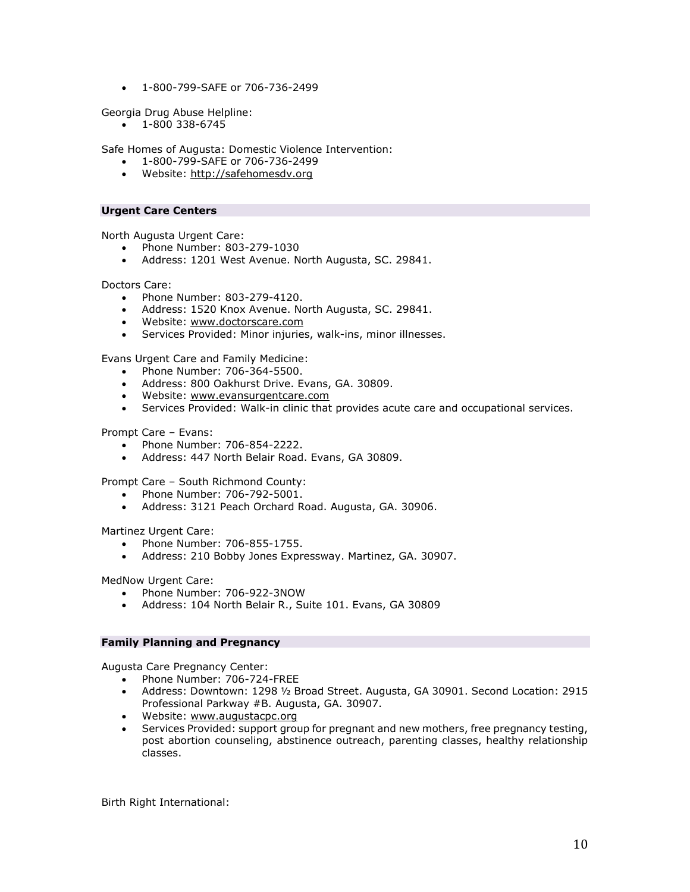1-800-799-SAFE or 706-736-2499

Georgia Drug Abuse Helpline:

1-800 338-6745

Safe Homes of Augusta: Domestic Violence Intervention:

- 1-800-799-SAFE or 706-736-2499
- Website: [http://safehomesdv.org](http://safehomesdv.org/)

## **Urgent Care Centers**

North Augusta Urgent Care:

- Phone Number: 803-279-1030
- Address: 1201 West Avenue. North Augusta, SC. 29841.

Doctors Care:

- Phone Number: 803-279-4120.
- Address: 1520 Knox Avenue. North Augusta, SC. 29841.
- Website: [www.doctorscare.com](http://www.doctorscare.com/)
- Services Provided: Minor injuries, walk-ins, minor illnesses.

Evans Urgent Care and Family Medicine:

- Phone Number: 706-364-5500.
- Address: 800 Oakhurst Drive. Evans, GA. 30809.
- Website: [www.evansurgentcare.com](http://www.evansurgentcare.com/)
- Services Provided: Walk-in clinic that provides acute care and occupational services.

Prompt Care – Evans:

- Phone Number: 706-854-2222.
- Address: 447 North Belair Road. Evans, GA 30809.

Prompt Care – South Richmond County:

- Phone Number: 706-792-5001.
- Address: 3121 Peach Orchard Road. Augusta, GA. 30906.

Martinez Urgent Care:

- Phone Number: 706-855-1755.
- Address: 210 Bobby Jones Expressway. Martinez, GA. 30907.

MedNow Urgent Care:

- Phone Number: 706-922-3NOW
- Address: 104 North Belair R., Suite 101. Evans, GA 30809

### **Family Planning and Pregnancy**

Augusta Care Pregnancy Center:

- Phone Number: 706-724-FREE
- Address: Downtown: 1298 ½ Broad Street. Augusta, GA 30901. Second Location: 2915 Professional Parkway #B. Augusta, GA. 30907.
- Website: [www.augustacpc.org](http://www.augustacpc.org/)
- Services Provided: support group for pregnant and new mothers, free pregnancy testing, post abortion counseling, abstinence outreach, parenting classes, healthy relationship classes.

Birth Right International: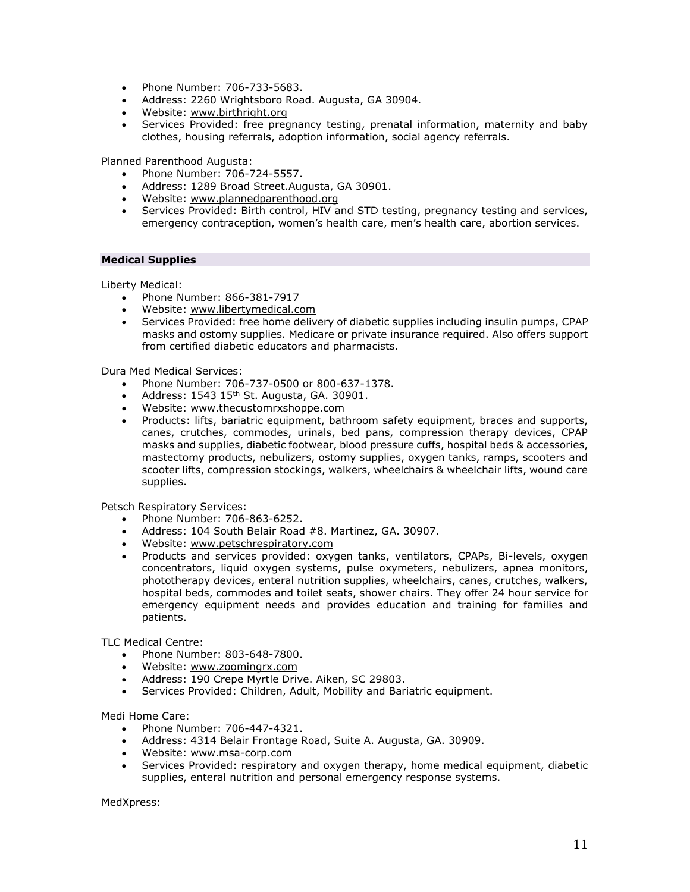- Phone Number: 706-733-5683.
- Address: 2260 Wrightsboro Road. Augusta, GA 30904.
- Website: [www.birthright.org](http://www.birthright.org/)
- Services Provided: free pregnancy testing, prenatal information, maternity and baby clothes, housing referrals, adoption information, social agency referrals.

Planned Parenthood Augusta:

- Phone Number: 706-724-5557.
- Address: 1289 Broad Street.Augusta, GA 30901.
- Website: [www.plannedparenthood.org](http://www.plannedparenthood.org/)
- Services Provided: Birth control, HIV and STD testing, pregnancy testing and services, emergency contraception, women's health care, men's health care, abortion services.

#### **Medical Supplies**

Liberty Medical:

- Phone Number: 866-381-7917
- Website: [www.libertymedical.com](http://www.libertymedical.com/)
- Services Provided: free home delivery of diabetic supplies including insulin pumps, CPAP masks and ostomy supplies. Medicare or private insurance required. Also offers support from certified diabetic educators and pharmacists.

Dura Med Medical Services:

- Phone Number: 706-737-0500 or 800-637-1378.
- Address: 1543 15<sup>th</sup> St. Augusta, GA, 30901.
- Website: [www.thecustomrxshoppe.com](http://www.thecustomrxshoppe.com/)
- Products: lifts, bariatric equipment, bathroom safety equipment, braces and supports, canes, crutches, commodes, urinals, bed pans, compression therapy devices, CPAP masks and supplies, diabetic footwear, blood pressure cuffs, hospital beds & accessories, mastectomy products, nebulizers, ostomy supplies, oxygen tanks, ramps, scooters and scooter lifts, compression stockings, walkers, wheelchairs & wheelchair lifts, wound care supplies.

Petsch Respiratory Services:

- Phone Number: 706-863-6252.
- Address: 104 South Belair Road #8. Martinez, GA. 30907.
- Website: [www.petschrespiratory.com](http://www.petschrespiratory.com/)
- Products and services provided: oxygen tanks, ventilators, CPAPs, Bi-levels, oxygen concentrators, liquid oxygen systems, pulse oxymeters, nebulizers, apnea monitors, phototherapy devices, enteral nutrition supplies, wheelchairs, canes, crutches, walkers, hospital beds, commodes and toilet seats, shower chairs. They offer 24 hour service for emergency equipment needs and provides education and training for families and patients.

TLC Medical Centre:

- Phone Number: 803-648-7800.
- Website: [www.zoomingrx.com](http://www.zoomingrx.com/)
- Address: 190 Crepe Myrtle Drive. Aiken, SC 29803.
- Services Provided: Children, Adult, Mobility and Bariatric equipment.

Medi Home Care:

- Phone Number: 706-447-4321.
- Address: 4314 Belair Frontage Road, Suite A. Augusta, GA. 30909.
- Website: [www.msa-corp.com](http://www.msa-corp.com/)
- Services Provided: respiratory and oxygen therapy, home medical equipment, diabetic supplies, enteral nutrition and personal emergency response systems.

MedXpress: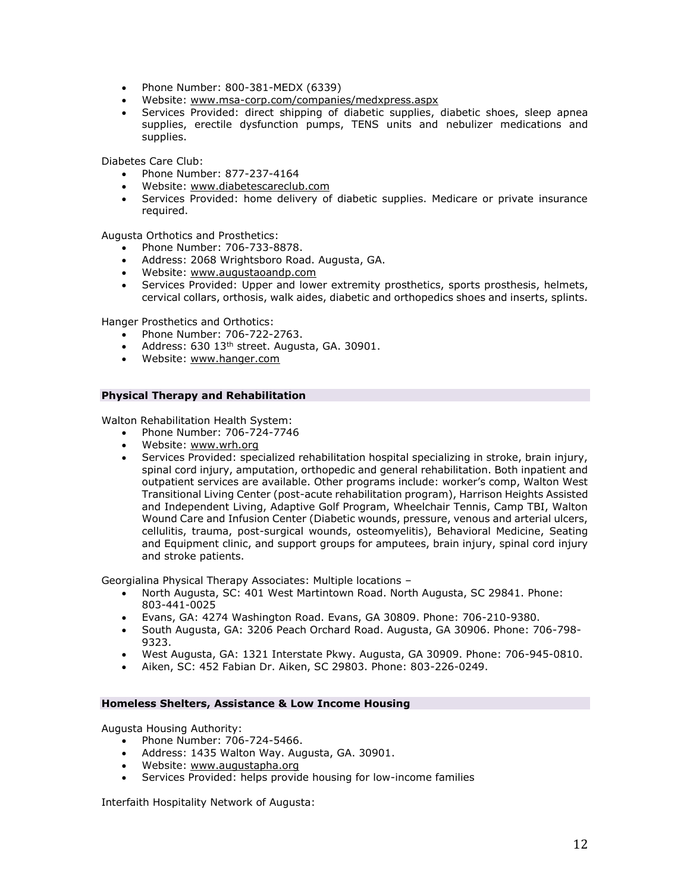- Phone Number: 800-381-MEDX (6339)
- Website: [www.msa-corp.com/companies/medxpress.aspx](http://www.msa-corp.com/companies/medxpress.aspx)
- Services Provided: direct shipping of diabetic supplies, diabetic shoes, sleep apnea supplies, erectile dysfunction pumps, TENS units and nebulizer medications and supplies.

Diabetes Care Club:

- Phone Number: 877-237-4164
- Website: [www.diabetescareclub.com](http://www.diabetescareclub.com/)
- Services Provided: home delivery of diabetic supplies. Medicare or private insurance required.

Augusta Orthotics and Prosthetics:

- Phone Number: 706-733-8878.
- Address: 2068 Wrightsboro Road. Augusta, GA.
- Website: [www.augustaoandp.com](http://www.augustaoandp.com/)
- Services Provided: Upper and lower extremity prosthetics, sports prosthesis, helmets, cervical collars, orthosis, walk aides, diabetic and orthopedics shoes and inserts, splints.

Hanger Prosthetics and Orthotics:

- Phone Number: 706-722-2763.
- Address: 630 13<sup>th</sup> street. Augusta, GA. 30901.
- Website: [www.hanger.com](http://www.hanger.com/)

## **Physical Therapy and Rehabilitation**

Walton Rehabilitation Health System:

- Phone Number: 706-724-7746
- Website: [www.wrh.org](http://www.wrh.org/)
- Services Provided: specialized rehabilitation hospital specializing in stroke, brain injury, spinal cord injury, amputation, orthopedic and general rehabilitation. Both inpatient and outpatient services are available. Other programs include: worker's comp, Walton West Transitional Living Center (post-acute rehabilitation program), Harrison Heights Assisted and Independent Living, Adaptive Golf Program, Wheelchair Tennis, Camp TBI, Walton Wound Care and Infusion Center (Diabetic wounds, pressure, venous and arterial ulcers, cellulitis, trauma, post-surgical wounds, osteomyelitis), Behavioral Medicine, Seating and Equipment clinic, and support groups for amputees, brain injury, spinal cord injury and stroke patients.

Georgialina Physical Therapy Associates: Multiple locations –

- North Augusta, SC: 401 West Martintown Road. North Augusta, SC 29841. Phone: 803-441-0025
- Evans, GA: 4274 Washington Road. Evans, GA 30809. Phone: 706-210-9380.
- South Augusta, GA: 3206 Peach Orchard Road. Augusta, GA 30906. Phone: 706-798- 9323.
- West Augusta, GA: 1321 Interstate Pkwy. Augusta, GA 30909. Phone: 706-945-0810.
- Aiken, SC: 452 Fabian Dr. Aiken, SC 29803. Phone: 803-226-0249.

### **Homeless Shelters, Assistance & Low Income Housing**

Augusta Housing Authority:

- Phone Number: 706-724-5466.
- Address: 1435 Walton Way. Augusta, GA. 30901.
- Website: [www.augustapha.org](http://www.augustapha.org/)
- Services Provided: helps provide housing for low-income families

Interfaith Hospitality Network of Augusta: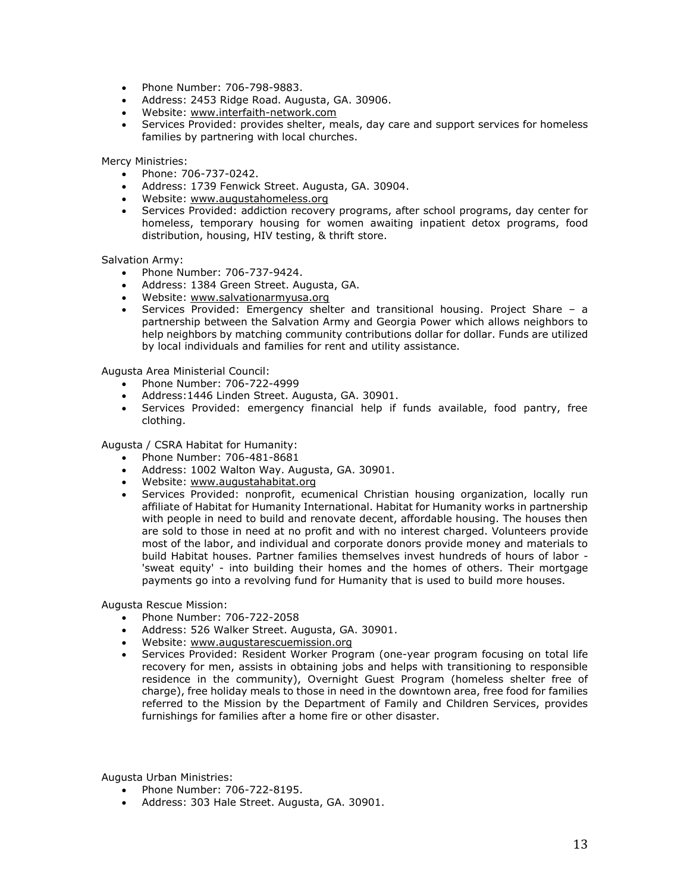- Phone Number: 706-798-9883.
- Address: 2453 Ridge Road. Augusta, GA. 30906.
- Website: [www.interfaith-network.com](http://www.interfaith-network.com/)
- Services Provided: provides shelter, meals, day care and support services for homeless families by partnering with local churches.

Mercy Ministries:

- Phone: 706-737-0242.
- Address: 1739 Fenwick Street. Augusta, GA. 30904.
- Website: [www.augustahomeless.org](http://www.augustahomeless.org/)
- Services Provided: addiction recovery programs, after school programs, day center for homeless, temporary housing for women awaiting inpatient detox programs, food distribution, housing, HIV testing, & thrift store.

Salvation Army:

- Phone Number: 706-737-9424.
- Address: 1384 Green Street. Augusta, GA.
- Website: [www.salvationarmyusa.org](http://www.salvationarmyusa.org/)
- Services Provided: Emergency shelter and transitional housing. Project Share a partnership between the Salvation Army and Georgia Power which allows neighbors to help neighbors by matching community contributions dollar for dollar. Funds are utilized by local individuals and families for rent and utility assistance.

Augusta Area Ministerial Council:

- Phone Number: 706-722-4999
- Address:1446 Linden Street. Augusta, GA. 30901.
- Services Provided: emergency financial help if funds available, food pantry, free clothing.

Augusta / CSRA Habitat for Humanity:

- Phone Number: 706-481-8681
- Address: 1002 Walton Way. Augusta, GA. 30901.
- Website: [www.augustahabitat.org](http://www.augustahabitat.org/)
- Services Provided: nonprofit, ecumenical Christian housing organization, locally run affiliate of Habitat for Humanity International. Habitat for Humanity works in partnership with people in need to build and renovate decent, affordable housing. The houses then are sold to those in need at no profit and with no interest charged. Volunteers provide most of the labor, and individual and corporate donors provide money and materials to build Habitat houses. Partner families themselves invest hundreds of hours of labor - 'sweat equity' - into building their homes and the homes of others. Their mortgage payments go into a revolving fund for Humanity that is used to build more houses.

Augusta Rescue Mission:

- Phone Number: 706-722-2058
- Address: 526 Walker Street. Augusta, GA. 30901.
- Website: [www.augustarescuemission.org](http://www.augustarescuemission.org/)
- Services Provided: Resident Worker Program (one-year program focusing on total life recovery for men, assists in obtaining jobs and helps with transitioning to responsible residence in the community), Overnight Guest Program (homeless shelter free of charge), free holiday meals to those in need in the downtown area, free food for families referred to the Mission by the Department of Family and Children Services, provides furnishings for families after a home fire or other disaster.

Augusta Urban Ministries:

- Phone Number: 706-722-8195.
- Address: 303 Hale Street. Augusta, GA. 30901.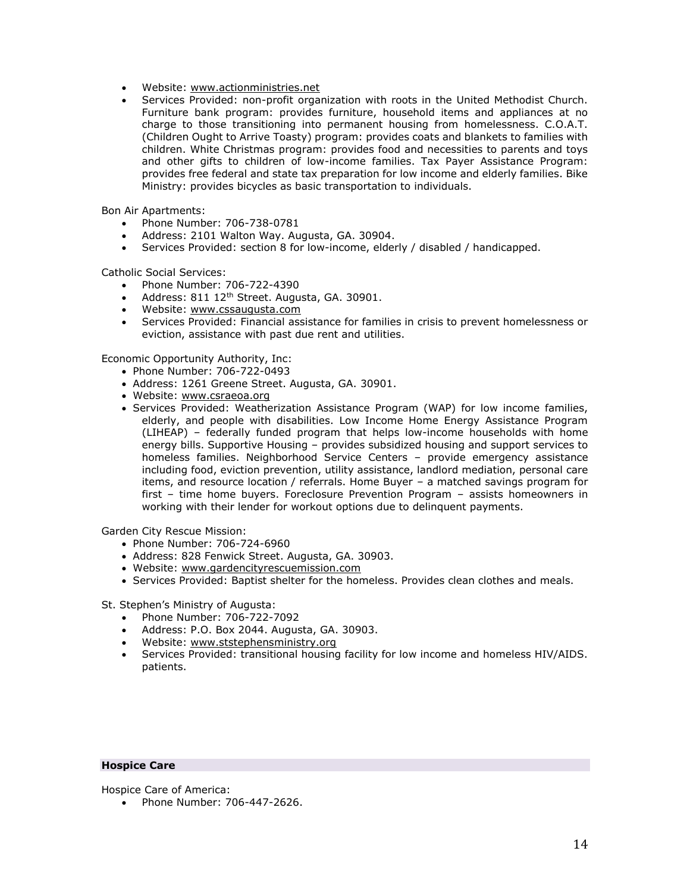- Website: [www.actionministries.net](http://www.actionministries.net/)
- Services Provided: non-profit organization with roots in the United Methodist Church. Furniture bank program: provides furniture, household items and appliances at no charge to those transitioning into permanent housing from homelessness. C.O.A.T. (Children Ought to Arrive Toasty) program: provides coats and blankets to families with children. White Christmas program: provides food and necessities to parents and toys and other gifts to children of low-income families. Tax Payer Assistance Program: provides free federal and state tax preparation for low income and elderly families. Bike Ministry: provides bicycles as basic transportation to individuals.

Bon Air Apartments:

- Phone Number: 706-738-0781
- Address: 2101 Walton Way. Augusta, GA. 30904.
- Services Provided: section 8 for low-income, elderly / disabled / handicapped.

Catholic Social Services:

- Phone Number: 706-722-4390
- Address: 811 12<sup>th</sup> Street. Augusta, GA. 30901.
- Website: [www.cssaugusta.com](http://www.cssaugusta.com/)
- Services Provided: Financial assistance for families in crisis to prevent homelessness or eviction, assistance with past due rent and utilities.

Economic Opportunity Authority, Inc:

- Phone Number: 706-722-0493
- Address: 1261 Greene Street. Augusta, GA. 30901.
- Website: [www.csraeoa.org](http://www.csraeoa.org/)
- Services Provided: Weatherization Assistance Program (WAP) for low income families, elderly, and people with disabilities. Low Income Home Energy Assistance Program (LIHEAP) – federally funded program that helps low-income households with home energy bills. Supportive Housing – provides subsidized housing and support services to homeless families. Neighborhood Service Centers – provide emergency assistance including food, eviction prevention, utility assistance, landlord mediation, personal care items, and resource location / referrals. Home Buyer – a matched savings program for first – time home buyers. Foreclosure Prevention Program – assists homeowners in working with their lender for workout options due to delinquent payments.

Garden City Rescue Mission:

- Phone Number: 706-724-6960
- Address: 828 Fenwick Street. Augusta, GA. 30903.
- Website: [www.gardencityrescuemission.com](http://www.gardencityrescuemission.com/)
- Services Provided: Baptist shelter for the homeless. Provides clean clothes and meals.

St. Stephen's Ministry of Augusta:

- Phone Number: 706-722-7092
- Address: P.O. Box 2044. Augusta, GA. 30903.
- Website: [www.ststephensministry.org](http://www.ststephensministry.org/)
- Services www.ststephensministry.org<br>• Services Provided: transitional housing facility for low income and homeless HIV/AIDS. patients.

## **Hospice Care**

Hospice Care of America:

• Phone Number: 706-447-2626.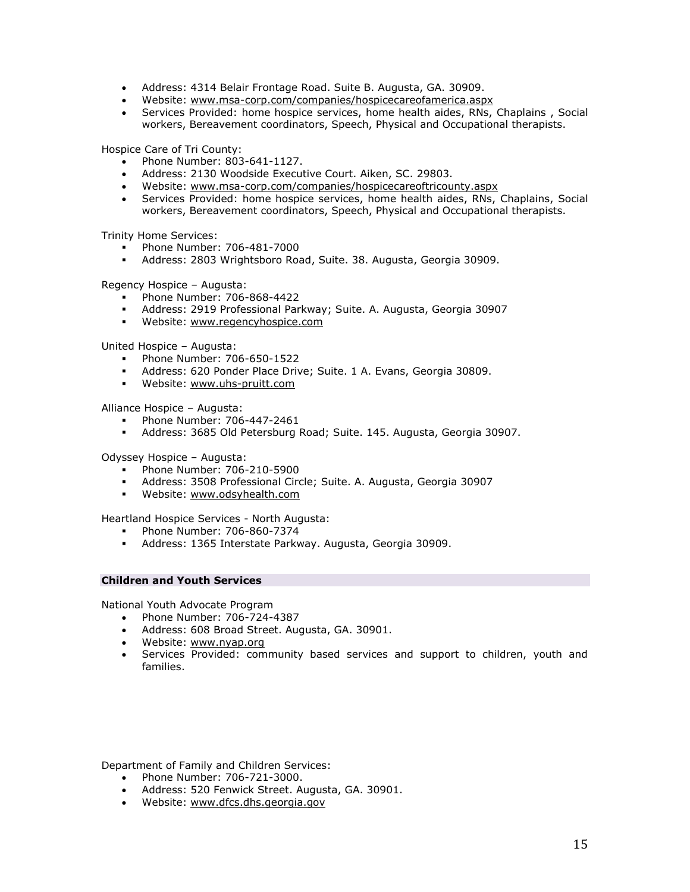- Address: 4314 Belair Frontage Road. Suite B. Augusta, GA. 30909.
- Website: [www.msa-corp.com/companies/hospicecareofamerica.aspx](http://www.msa-corp.com/companies/hospicecareofamerica.aspx)
- Services Provided: home hospice services, home health aides, RNs, Chaplains , Social workers, Bereavement coordinators, Speech, Physical and Occupational therapists.

Hospice Care of Tri County:

- Phone Number: 803-641-1127.
- Address: 2130 Woodside Executive Court. Aiken, SC. 29803.
- Website: [www.msa-corp.com/companies/hospicecareoftricounty.aspx](http://www.msa-corp.com/companies/hospicecareoftricounty.aspx)
- Services Provided: home hospice services, home health aides, RNs, Chaplains, Social workers, Bereavement coordinators, Speech, Physical and Occupational therapists.

Trinity Home Services:

- Phone Number: 706-481-7000
- Address: 2803 Wrightsboro Road, Suite. 38. Augusta, Georgia 30909.

Regency Hospice – Augusta:

- Phone Number: 706-868-4422
- Address: 2919 Professional Parkway; Suite. A. Augusta, Georgia 30907
- **Website:** [www.regencyhospice.com](http://www.regencyhospice.com/)

United Hospice – Augusta:

- **Phone Number: 706-650-1522**
- Address: 620 Ponder Place Drive; Suite. 1 A. Evans, Georgia 30809.
- Website: [www.uhs-pruitt.com](http://www.uhs-pruitt.com/)

Alliance Hospice – Augusta:

- Phone Number: 706-447-2461
- Address: 3685 Old Petersburg Road; Suite. 145. Augusta, Georgia 30907.

Odyssey Hospice – Augusta:

- Phone Number: 706-210-5900
- Address: 3508 Professional Circle; Suite. A. Augusta, Georgia 30907
- **Website: [www.odsyhealth.com](http://www.odsyhealth.com/)**

Heartland Hospice Services - North Augusta:

- Phone Number: 706-860-7374
- Address: 1365 Interstate Parkway. Augusta, Georgia 30909.

## **Children and Youth Services**

National Youth Advocate Program

- Phone Number: 706-724-4387
- Address: 608 Broad Street. Augusta, GA. 30901.
- Website: [www.nyap.org](http://www.nyap.org/)
- Services Provided: community based services and support to children, youth and families.

Department of Family and Children Services:

- Phone Number: 706-721-3000.
- Address: 520 Fenwick Street. Augusta, GA. 30901.
- Website: [www.dfcs.dhs.georgia.gov](http://www.dfcs.dhs.georgia.gov/)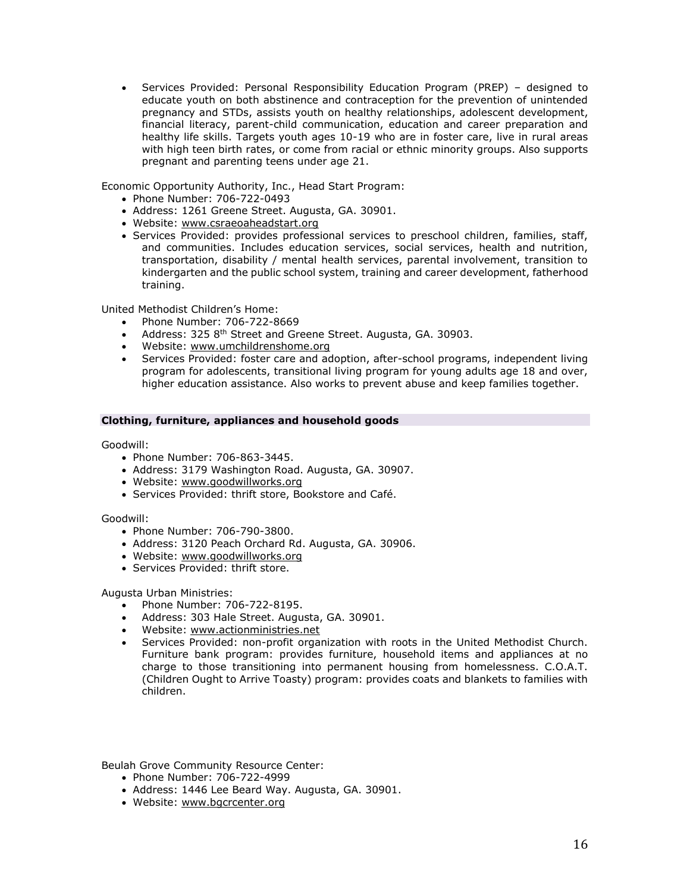Services Provided: Personal Responsibility Education Program (PREP) – designed to educate youth on both abstinence and contraception for the prevention of unintended pregnancy and STDs, assists youth on healthy relationships, adolescent development, financial literacy, parent-child communication, education and career preparation and healthy life skills. Targets youth ages 10-19 who are in foster care, live in rural areas with high teen birth rates, or come from racial or ethnic minority groups. Also supports pregnant and parenting teens under age 21.

Economic Opportunity Authority, Inc., Head Start Program:

- Phone Number: 706-722-0493
- Address: 1261 Greene Street. Augusta, GA. 30901.
- Website: [www.csraeoaheadstart.org](http://www.csraeoaheadstart.org/)
- Services Provided: provides professional services to preschool children, families, staff, and communities. Includes education services, social services, health and nutrition, transportation, disability / mental health services, parental involvement, transition to kindergarten and the public school system, training and career development, fatherhood training.

United Methodist Children's Home:

- Phone Number: 706-722-8669
- Address: 325 8<sup>th</sup> Street and Greene Street. Augusta, GA. 30903.
- Website: [www.umchildrenshome.org](http://www.umchildrenshome.org/)
- Services Provided: foster care and adoption, after-school programs, independent living program for adolescents, transitional living program for young adults age 18 and over, higher education assistance. Also works to prevent abuse and keep families together.

## **Clothing, furniture, appliances and household goods**

Goodwill:

- Phone Number: 706-863-3445.
- Address: 3179 Washington Road. Augusta, GA. 30907.
- Website: [www.goodwillworks.org](http://www.goodwillworks.org/)
- Services Provided: thrift store, Bookstore and Café.

Goodwill:

- Phone Number: 706-790-3800.
- Address: 3120 Peach Orchard Rd. Augusta, GA. 30906.
- Website: [www.goodwillworks.org](http://www.goodwillworks.org/)
- Services Provided: thrift store.

Augusta Urban Ministries:

- Phone Number: 706-722-8195.
- Address: 303 Hale Street. Augusta, GA. 30901.
- Website: [www.actionministries.net](http://www.actionministries.net/)
- Services Provided: non-profit organization with roots in the United Methodist Church. Furniture bank program: provides furniture, household items and appliances at no charge to those transitioning into permanent housing from homelessness. C.O.A.T. (Children Ought to Arrive Toasty) program: provides coats and blankets to families with children.

Beulah Grove Community Resource Center:

- Phone Number: 706-722-4999
- Address: 1446 Lee Beard Way. Augusta, GA. 30901.
- Website: [www.bgcrcenter.org](http://www.bgcrcenter.org/)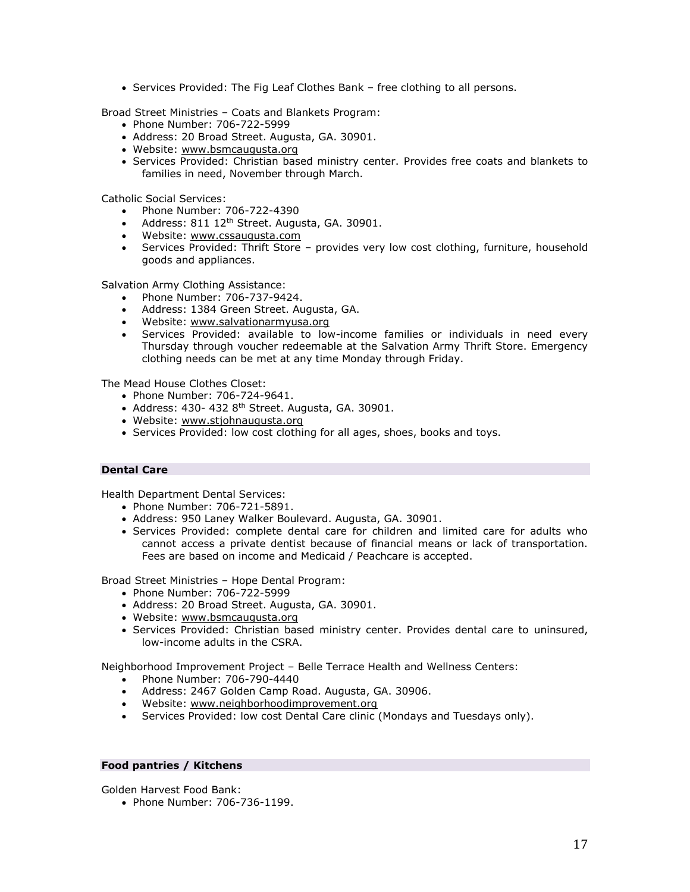Services Provided: The Fig Leaf Clothes Bank – free clothing to all persons.

Broad Street Ministries – Coats and Blankets Program:

- Phone Number: 706-722-5999
- Address: 20 Broad Street. Augusta, GA. 30901.
- Website: [www.bsmcaugusta.org](http://www.bsmcaugusta.org/)
- Services Provided: Christian based ministry center. Provides free coats and blankets to families in need, November through March.

Catholic Social Services:

- Phone Number: 706-722-4390
- Address: 811 12<sup>th</sup> Street. Augusta, GA. 30901.
- Website: [www.cssaugusta.com](http://www.cssaugusta.com/)
- Services Provided: Thrift Store provides very low cost clothing, furniture, household goods and appliances.

Salvation Army Clothing Assistance:

- Phone Number: 706-737-9424.
- Address: 1384 Green Street. Augusta, GA.
- Website: [www.salvationarmyusa.org](http://www.salvationarmyusa.org/)
- Services Provided: available to low-income families or individuals in need every Thursday through voucher redeemable at the Salvation Army Thrift Store. Emergency clothing needs can be met at any time Monday through Friday.

The Mead House Clothes Closet:

- Phone Number: 706-724-9641.
- $\bullet$  Address: 430- 432 8<sup>th</sup> Street. Augusta, GA. 30901.
- Website: [www.stjohnaugusta.org](http://www.stjohnaugusta.org/)
- Services Provided: low cost clothing for all ages, shoes, books and toys.

### **Dental Care**

Health Department Dental Services:

- Phone Number: 706-721-5891.
- Address: 950 Laney Walker Boulevard. Augusta, GA. 30901.
- Services Provided: complete dental care for children and limited care for adults who cannot access a private dentist because of financial means or lack of transportation. Fees are based on income and Medicaid / Peachcare is accepted.

Broad Street Ministries – Hope Dental Program:

- Phone Number: 706-722-5999
- Address: 20 Broad Street. Augusta, GA. 30901.
- Website: [www.bsmcaugusta.org](http://www.bsmcaugusta.org/)
- Services Provided: Christian based ministry center. Provides dental care to uninsured, low-income adults in the CSRA.

Neighborhood Improvement Project – Belle Terrace Health and Wellness Centers:

- Phone Number: 706-790-4440
- Address: 2467 Golden Camp Road. Augusta, GA. 30906.
- Website: [www.neighborhoodimprovement.org](http://www.neighborhoodimprovement.org/)
- Services Provided: low cost Dental Care clinic (Mondays and Tuesdays only).

## **Food pantries / Kitchens**

Golden Harvest Food Bank:

• Phone Number: 706-736-1199.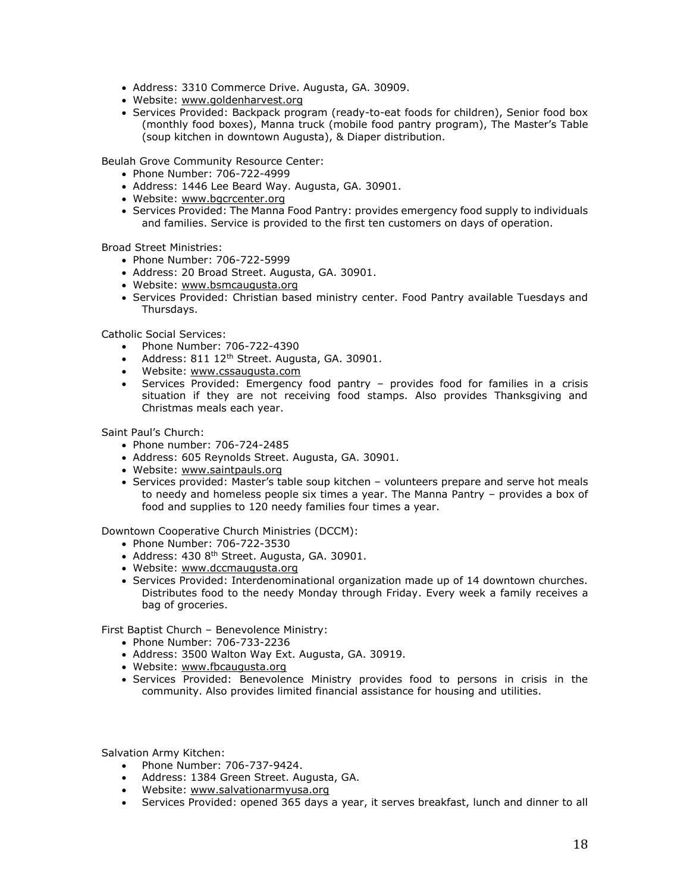- Address: 3310 Commerce Drive. Augusta, GA. 30909.
- Website: [www.goldenharvest.org](http://www.goldenharvest.org/)
- Services Provided: Backpack program (ready-to-eat foods for children), Senior food box (monthly food boxes), Manna truck (mobile food pantry program), The Master's Table (soup kitchen in downtown Augusta), & Diaper distribution.

Beulah Grove Community Resource Center:

- Phone Number: 706-722-4999
- Address: 1446 Lee Beard Way. Augusta, GA. 30901.
- Website: [www.bgcrcenter.org](http://www.bgcrcenter.org/)
- Services Provided: The Manna Food Pantry: provides emergency food supply to individuals and families. Service is provided to the first ten customers on days of operation.

Broad Street Ministries:

- Phone Number: 706-722-5999
- Address: 20 Broad Street. Augusta, GA. 30901.
- Website: [www.bsmcaugusta.org](http://www.bsmcaugusta.org/)
- Services Provided: Christian based ministry center. Food Pantry available Tuesdays and Thursdays.

Catholic Social Services:

- Phone Number: 706-722-4390
- $\bullet$  Address: 811 12<sup>th</sup> Street. Augusta, GA. 30901.
- Website: [www.cssaugusta.com](http://www.cssaugusta.com/)
- Services Provided: Emergency food pantry provides food for families in a crisis situation if they are not receiving food stamps. Also provides Thanksgiving and Christmas meals each year.

Saint Paul's Church:

- Phone number: 706-724-2485
- Address: 605 Reynolds Street. Augusta, GA. 30901.
- Website: [www.saintpauls.org](http://www.saintpauls.org/)
- Services provided: Master's table soup kitchen volunteers prepare and serve hot meals to needy and homeless people six times a year. The Manna Pantry – provides a box of food and supplies to 120 needy families four times a year.

Downtown Cooperative Church Ministries (DCCM):

- Phone Number: 706-722-3530
- Address: 430 8<sup>th</sup> Street. Augusta, GA. 30901.
- Website: [www.dccmaugusta.org](http://www.dccmaugusta.org/)
- Services Provided: Interdenominational organization made up of 14 downtown churches. Distributes food to the needy Monday through Friday. Every week a family receives a bag of groceries.

First Baptist Church – Benevolence Ministry:

- Phone Number: 706-733-2236
- Address: 3500 Walton Way Ext. Augusta, GA. 30919.
- Website: [www.fbcaugusta.org](http://www.fbcaugusta.org/)
- Services Provided: Benevolence Ministry provides food to persons in crisis in the community. Also provides limited financial assistance for housing and utilities.

Salvation Army Kitchen:

- Phone Number: 706-737-9424.
- Address: 1384 Green Street. Augusta, GA.
- Website: [www.salvationarmyusa.org](http://www.salvationarmyusa.org/)
- Services Provided: opened 365 days a year, it serves breakfast, lunch and dinner to all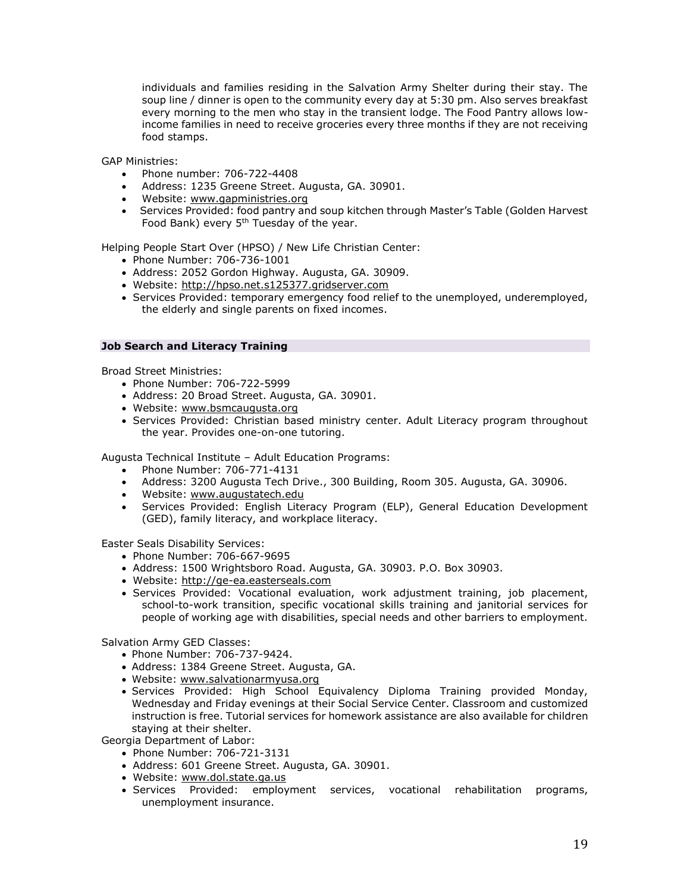individuals and families residing in the Salvation Army Shelter during their stay. The soup line / dinner is open to the community every day at 5:30 pm. Also serves breakfast every morning to the men who stay in the transient lodge. The Food Pantry allows lowincome families in need to receive groceries every three months if they are not receiving food stamps.

GAP Ministries:

- Phone number: 706-722-4408
- Address: 1235 Greene Street. Augusta, GA. 30901.
- Website: [www.gapministries.org](http://www.gapministries.org/)
- Services Provided: food pantry and soup kitchen through Master's Table (Golden Harvest Food Bank) every  $5<sup>th</sup>$  Tuesday of the year.

Helping People Start Over (HPSO) / New Life Christian Center:

- Phone Number: 706-736-1001
- Address: 2052 Gordon Highway. Augusta, GA. 30909.
- Website: [http://hpso.net.s125377.gridserver.com](http://hpso.net.s125377.gridserver.com/)
- Services Provided: temporary emergency food relief to the unemployed, underemployed, the elderly and single parents on fixed incomes.

### **Job Search and Literacy Training**

Broad Street Ministries:

- Phone Number: 706-722-5999
- Address: 20 Broad Street. Augusta, GA. 30901.
- Website: [www.bsmcaugusta.org](http://www.bsmcaugusta.org/)
- Services Provided: Christian based ministry center. Adult Literacy program throughout the year. Provides one-on-one tutoring.

Augusta Technical Institute – Adult Education Programs:

- Phone Number: 706-771-4131
- Address: 3200 Augusta Tech Drive., 300 Building, Room 305. Augusta, GA. 30906.
- Website: [www.augustatech.edu](http://www.augustatech.edu/)
- Services Provided: English Literacy Program (ELP), General Education Development (GED), family literacy, and workplace literacy.

Easter Seals Disability Services:

- Phone Number: 706-667-9695
- Address: 1500 Wrightsboro Road. Augusta, GA. 30903. P.O. Box 30903.
- Website: [http://ge-ea.easterseals.com](http://ge-ea.easterseals.com/)
- Services Provided: Vocational evaluation, work adjustment training, job placement, school-to-work transition, specific vocational skills training and janitorial services for people of working age with disabilities, special needs and other barriers to employment.

Salvation Army GED Classes:

- Phone Number: 706-737-9424.
- Address: 1384 Greene Street. Augusta, GA.
- Website: [www.salvationarmyusa.org](http://www.salvationarmyusa.org/)
- Services Provided: High School Equivalency Diploma Training provided Monday, Wednesday and Friday evenings at their Social Service Center. Classroom and customized instruction is free. Tutorial services for homework assistance are also available for children staying at their shelter.

Georgia Department of Labor:

- Phone Number: 706-721-3131
- Address: 601 Greene Street. Augusta, GA. 30901.
- Website: [www.dol.state.ga.us](http://www.dol.state.ga.us/)
- Services Provided: employment services, vocational rehabilitation programs, unemployment insurance.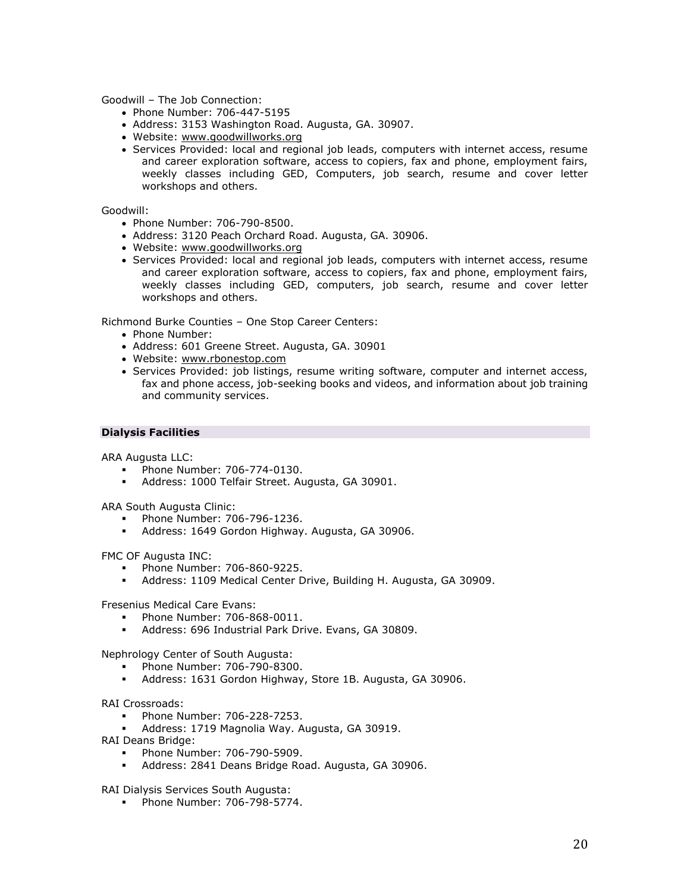Goodwill – The Job Connection:

- Phone Number: 706-447-5195
- Address: 3153 Washington Road. Augusta, GA. 30907.
- Website: [www.goodwillworks.org](http://www.goodwillworks.org/)
- Services Provided: local and regional job leads, computers with internet access, resume and career exploration software, access to copiers, fax and phone, employment fairs, weekly classes including GED, Computers, job search, resume and cover letter workshops and others.

Goodwill:

- Phone Number: 706-790-8500.
- Address: 3120 Peach Orchard Road. Augusta, GA. 30906.
- Website: [www.goodwillworks.org](http://www.goodwillworks.org/)
- Services Provided: local and regional job leads, computers with internet access, resume and career exploration software, access to copiers, fax and phone, employment fairs, weekly classes including GED, computers, job search, resume and cover letter workshops and others.

Richmond Burke Counties – One Stop Career Centers:

- Phone Number:
- Address: 601 Greene Street. Augusta, GA. 30901
- Website: [www.rbonestop.com](http://www.rbonestop.com/)
- Services Provided: job listings, resume writing software, computer and internet access, fax and phone access, job-seeking books and videos, and information about job training and community services.

## **Dialysis Facilities**

ARA Augusta LLC:

- Phone Number: 706-774-0130.
- Address: 1000 Telfair Street. Augusta, GA 30901.

ARA South Augusta Clinic:

- Phone Number: 706-796-1236.
- Address: 1649 Gordon Highway. Augusta, GA 30906.

FMC OF Augusta INC:

- Phone Number: 706-860-9225.
- Address: 1109 Medical Center Drive, Building H. Augusta, GA 30909.

Fresenius Medical Care Evans:

- Phone Number: 706-868-0011.
- Address: 696 Industrial Park Drive. Evans, GA 30809.

Nephrology Center of South Augusta:

- Phone Number: 706-790-8300.
- Address: 1631 Gordon Highway, Store 1B. Augusta, GA 30906.

### RAI Crossroads:

- Phone Number: 706-228-7253.
- Address: 1719 Magnolia Way. Augusta, GA 30919.
- RAI Deans Bridge:
	- Phone Number: 706-790-5909.
	- Address: 2841 Deans Bridge Road. Augusta, GA 30906.

RAI Dialysis Services South Augusta:

**Phone Number: 706-798-5774.**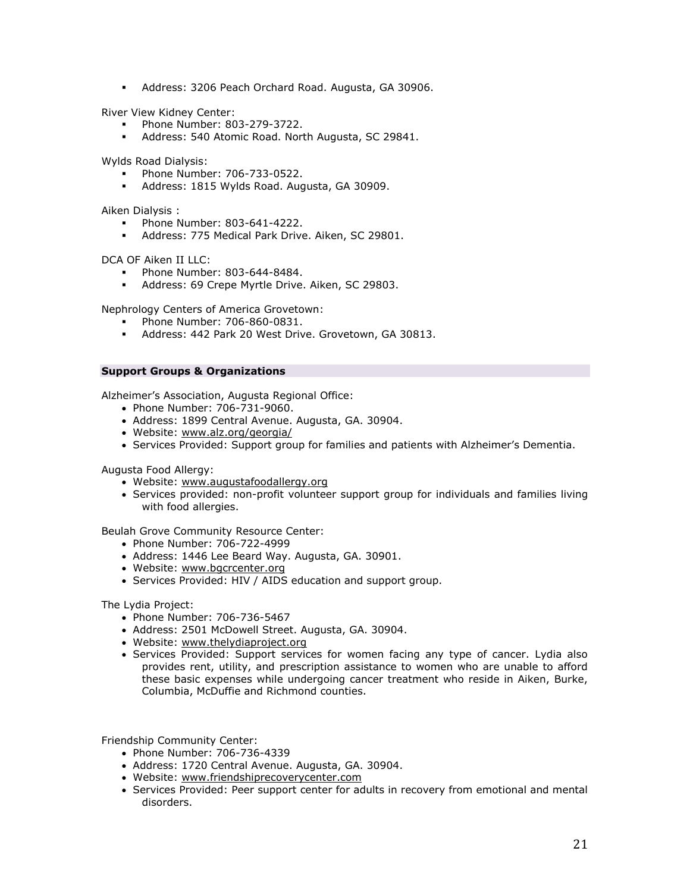Address: 3206 Peach Orchard Road. Augusta, GA 30906.

River View Kidney Center:

- Phone Number: 803-279-3722.
- Address: 540 Atomic Road. North Augusta, SC 29841.

Wylds Road Dialysis:

- Phone Number: 706-733-0522.
- Address: 1815 Wylds Road. Augusta, GA 30909.

Aiken Dialysis :

- Phone Number: 803-641-4222.
- Address: 775 Medical Park Drive. Aiken, SC 29801.

DCA OF Aiken II LLC:

- Phone Number: 803-644-8484.
- Address: 69 Crepe Myrtle Drive. Aiken, SC 29803.

Nephrology Centers of America Grovetown:

- Phone Number: 706-860-0831.
- Address: 442 Park 20 West Drive. Grovetown, GA 30813.

## **Support Groups & Organizations**

Alzheimer's Association, Augusta Regional Office:

- Phone Number: 706-731-9060.
- Address: 1899 Central Avenue. Augusta, GA. 30904.
- Website: [www.alz.org/georgia/](http://www.alz.org/georgia/)
- Services Provided: Support group for families and patients with Alzheimer's Dementia.

Augusta Food Allergy:

- Website: [www.augustafoodallergy.org](http://www.augustafoodallergy.org/)
- Services provided: non-profit volunteer support group for individuals and families living with food allergies.

Beulah Grove Community Resource Center:

- Phone Number: 706-722-4999
- Address: 1446 Lee Beard Way. Augusta, GA. 30901.
- Website: [www.bgcrcenter.org](http://www.bgcrcenter.org/)
- Services Provided: HIV / AIDS education and support group.

The Lydia Project:

- Phone Number: 706-736-5467
- Address: 2501 McDowell Street. Augusta, GA. 30904.
- Website: [www.thelydiaproject.org](http://www.thelydiaproject.org/)
- Services Provided: Support services for women facing any type of cancer. Lydia also provides rent, utility, and prescription assistance to women who are unable to afford these basic expenses while undergoing cancer treatment who reside in Aiken, Burke, Columbia, McDuffie and Richmond counties.

Friendship Community Center:

- Phone Number: 706-736-4339
- Address: 1720 Central Avenue. Augusta, GA. 30904.
- Website: [www.friendshiprecoverycenter.com](http://www.friendshiprecoverycenter.com/)
- Services Provided: Peer support center for adults in recovery from emotional and mental disorders.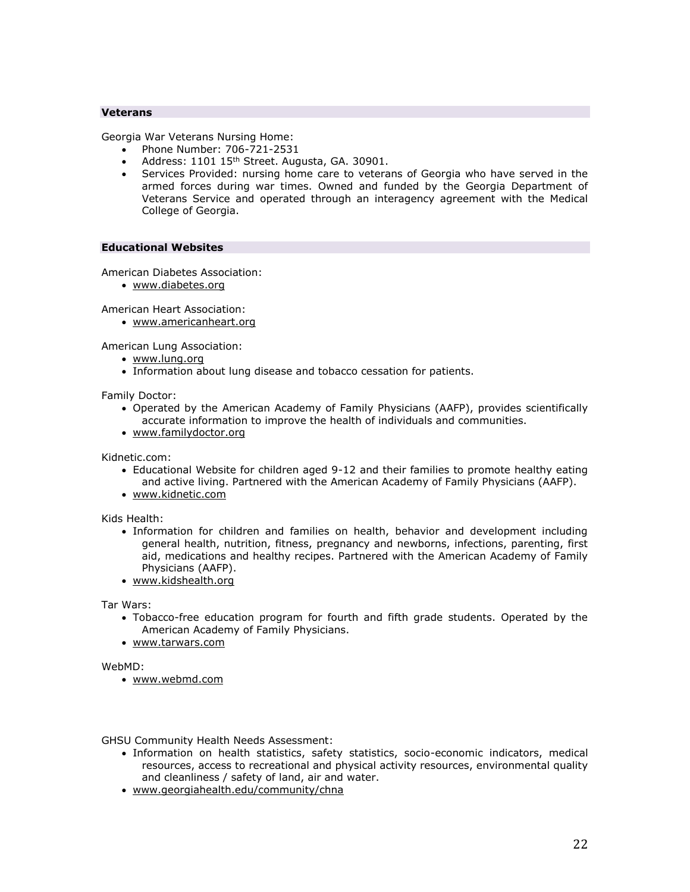## **Veterans**

Georgia War Veterans Nursing Home:

- Phone Number: 706-721-2531
- Address: 1101 15<sup>th</sup> Street. Augusta, GA. 30901.
- Services Provided: nursing home care to veterans of Georgia who have served in the armed forces during war times. Owned and funded by the Georgia Department of Veterans Service and operated through an interagency agreement with the Medical College of Georgia.

## **Educational Websites**

American Diabetes Association:

[www.diabetes.org](http://www.diabetes.org/)

American Heart Association:

[www.americanheart.org](http://www.americanheart.org/)

American Lung Association:

- [www.lung.org](http://www.lung.org/)
- Information about lung disease and tobacco cessation for patients.

Family Doctor:

- Operated by the American Academy of Family Physicians (AAFP), provides scientifically accurate information to improve the health of individuals and communities.
- [www.familydoctor.org](http://www.familydoctor.org/)

Kidnetic.com:

- Educational Website for children aged 9-12 and their families to promote healthy eating and active living. Partnered with the American Academy of Family Physicians (AAFP).
- [www.kidnetic.com](http://www.kidnetic.com/)

Kids Health:

- Information for children and families on health, behavior and development including general health, nutrition, fitness, pregnancy and newborns, infections, parenting, first aid, medications and healthy recipes. Partnered with the American Academy of Family Physicians (AAFP).
- [www.kidshealth.org](http://www.kidshealth.org/)

Tar Wars:

- Tobacco-free education program for fourth and fifth grade students. Operated by the American Academy of Family Physicians.
- [www.tarwars.com](http://www.tarwars.com/)

WebMD:

[www.webmd.com](http://www.webmd.com/)

GHSU Community Health Needs Assessment:

- Information on health statistics, safety statistics, socio-economic indicators, medical resources, access to recreational and physical activity resources, environmental quality and cleanliness / safety of land, air and water.
- [www.georgiahealth.edu/community/chna](http://www.georgiahealth.edu/community/chna)